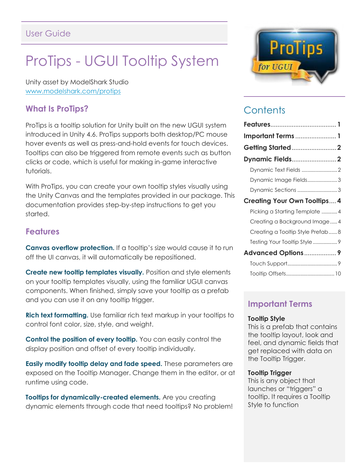## User Guide

# ProTips - UGUI Tooltip System

Unity asset by ModelShark Studio [www.modelshark.com/protips](http://www.modelshark.com/protips)

## **What Is ProTips?**

ProTips is a tooltip solution for Unity built on the new UGUI system introduced in Unity 4.6. ProTips supports both desktop/PC mouse hover events as well as press-and-hold events for touch devices. Tooltips can also be triggered from remote events such as button clicks or code, which is useful for making in-game interactive tutorials.

With ProTips, you can create your own tooltip styles visually using the Unity Canvas and the templates provided in our package. This documentation provides step-by-step instructions to get you started.

#### **Features**

**Canvas overflow protection.** If a tooltip's size would cause it to run off the UI canvas, it will automatically be repositioned.

**Create new tooltip templates visually.** Position and style elements on your tooltip templates visually, using the familiar UGUI canvas components. When finished, simply save your tooltip as a prefab and you can use it on any tooltip trigger.

**Rich text formatting.** Use familiar rich text markup in your tooltips to control font color, size, style, and weight.

**Control the position of every tooltip.** You can easily control the display position and offset of every tooltip individually.

**Easily modify tooltip delay and fade speed.** These parameters are exposed on the Tooltip Manager. Change them in the editor, or at runtime using code.

**Tooltips for dynamically-created elements.** Are you creating dynamic elements through code that need tooltips? No problem!



## **Contents**

| Important Terms  1                  |
|-------------------------------------|
| <b>Getting Started  2</b>           |
| <b>Dynamic Fields 2</b>             |
|                                     |
| Dynamic Image Fields3               |
| Dynamic Sections 3                  |
| <b>Creating Your Own Tooltips 4</b> |
| Picking a Starting Template 4       |
| Creating a Background Image 4       |
| Creating a Tooltip Style Prefab8    |
| Testing Your Tooltip Style 9        |
| <b>Advanced Options9</b>            |
|                                     |
|                                     |
|                                     |

## **Important Terms**

#### **Tooltip Style**

This is a prefab that contains the tooltip layout, look and feel, and dynamic fields that get replaced with data on the Tooltip Trigger.

#### **Tooltip Trigger**

This is any object that launches or "triggers" a tooltip. It requires a Tooltip Style to function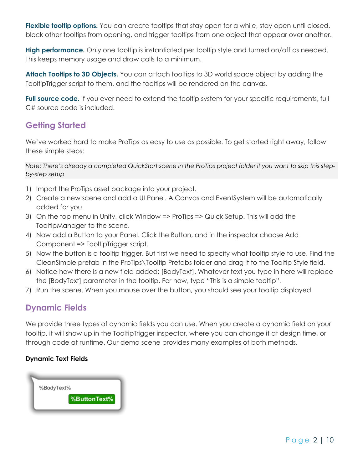Flexible tooltip options. You can create tooltips that stay open for a while, stay open until closed, block other tooltips from opening, and trigger tooltips from one object that appear over another.

**High performance.** Only one tooltip is instantiated per tooltip style and turned on/off as needed. This keeps memory usage and draw calls to a minimum.

**Attach Tooltips to 3D Objects.** You can attach tooltips to 3D world space object by adding the TooltipTrigger script to them, and the tooltips will be rendered on the canvas.

Full source code. If you ever need to extend the tooltip system for your specific requirements, full C# source code is included.

## **Getting Started**

We've worked hard to make ProTips as easy to use as possible. To get started right away, follow these simple steps:

*Note: There's already a completed QuickStart scene in the ProTips project folder if you want to skip this stepby-step setup*

- 1) Import the ProTips asset package into your project.
- 2) Create a new scene and add a UI Panel. A Canvas and EventSystem will be automatically added for you.
- 3) On the top menu in Unity, click Window => ProTips => Quick Setup. This will add the TooltipManager to the scene.
- 4) Now add a Button to your Panel. Click the Button, and in the inspector choose Add Component => TooltipTrigger script.
- 5) Now the button is a tooltip trigger. But first we need to specify what tooltip style to use. Find the CleanSimple prefab in the ProTips\Tooltip Prefabs folder and drag it to the Tooltip Style field.
- 6) Notice how there is a new field added: [BodyText]. Whatever text you type in here will replace the [BodyText] parameter in the tooltip. For now, type "This is a simple tooltip".
- 7) Run the scene. When you mouse over the button, you should see your tooltip displayed.

## **Dynamic Fields**

We provide three types of dynamic fields you can use. When you create a dynamic field on your tooltip, it will show up in the TooltipTrigger inspector, where you can change it at design time, or through code at runtime. Our demo scene provides many examples of both methods.

#### **Dynamic Text Fields**

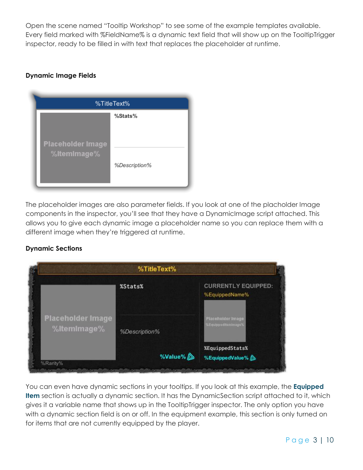Open the scene named "Tooltip Workshop" to see some of the example templates available. Every field marked with %FieldName% is a dynamic text field that will show up on the TooltipTrigger inspector, ready to be filled in with text that replaces the placeholder at runtime.

#### **Dynamic Image Fields**

| %TitleText%                             |               |
|-----------------------------------------|---------------|
| <b>Placeholder Image</b><br>%ItemImage% | %Stats%       |
|                                         | %Description% |

The placeholder images are also parameter fields. If you look at one of the placholder Image components in the inspector, you'll see that they have a DynamicImage script attached. This allows you to give each dynamic image a placeholder name so you can replace them with a different image when they're triggered at runtime.

#### **Dynamic Sections**

|                                         | %TitleText%   |                                              |
|-----------------------------------------|---------------|----------------------------------------------|
|                                         | %Stats%       | <b>CURRENTLY EQUIPPED:</b><br>%EquippedName% |
| <b>Placeholder Image</b><br>%ItemImage% | %Description% | Placeholder Image<br>%Equippeditemimage%     |
| %Rarity%                                | %Value%       | %EquippedStats%<br>%EquippedValue%           |

You can even have dynamic sections in your tooltips. If you look at this example, the **Equipped Item** section is actually a dynamic section. It has the DynamicSection script attached to it, which gives it a variable name that shows up in the TooltipTrigger inspector. The only option you have with a dynamic section field is on or off. In the equipment example, this section is only turned on for items that are not currently equipped by the player.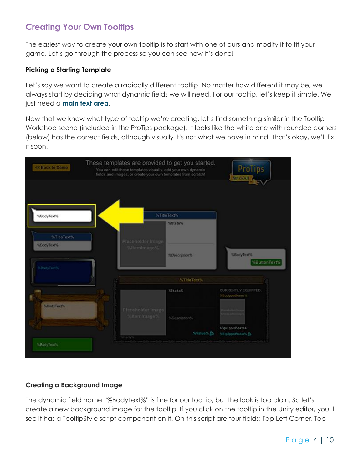## **Creating Your Own Tooltips**

The easiest way to create your own tooltip is to start with one of ours and modify it to fit your game. Let's go through the process so you can see how it's done!

#### **Picking a Starting Template**

Let's say we want to create a radically different tooltip. No matter how different it may be, we always start by deciding what dynamic fields we will need. For our tooltip, let's keep it simple. We just need a **main text area**.

Now that we know what type of tooltip we're creating, let's find something similar in the Tooltip Workshop scene (included in the ProTips package). It looks like the white one with rounded corners (below) has the correct fields, although visually it's not what we have in mind. That's okay, we'll fix it soon.



#### **Creating a Background Image**

The dynamic field name "%BodyText%" is fine for our tooltip, but the look is too plain. So let's create a new background image for the tooltip. If you click on the tooltip in the Unity editor, you'll see it has a TooltipStyle script component on it. On this script are four fields: Top Left Corner, Top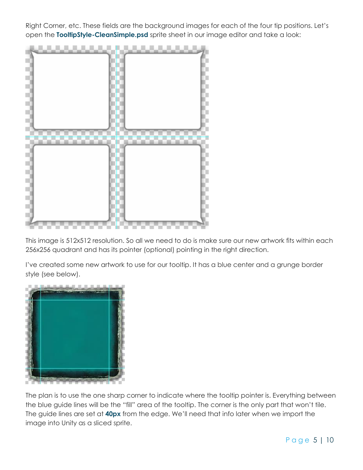Right Corner, etc. These fields are the background images for each of the four tip positions. Let's open the **TooltipStyle-CleanSimple.psd** sprite sheet in our image editor and take a look:



This image is 512x512 resolution. So all we need to do is make sure our new artwork fits within each 256x256 quadrant and has its pointer (optional) pointing in the right direction.

I've created some new artwork to use for our tooltip. It has a blue center and a grunge border style (see below).



The plan is to use the one sharp corner to indicate where the tooltip pointer is. Everything between the blue guide lines will be the "fill" area of the tooltip. The corner is the only part that won't tile. The guide lines are set at **40px** from the edge. We'll need that info later when we import the image into Unity as a sliced sprite.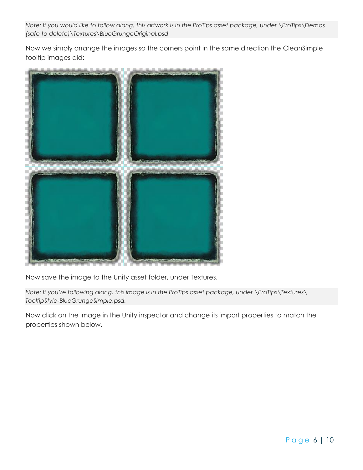*Note: If you would like to follow along, this artwork is in the ProTips asset package, under \ProTips\Demos (safe to delete)\Textures\BlueGrungeOriginal.psd*

Now we simply arrange the images so the corners point in the same direction the CleanSimple tooltip images did:



Now save the image to the Unity asset folder, under Textures.

*Note: If you're following along, this image is in the ProTips asset package, under \ProTips\Textures\ TooltipStyle-BlueGrungeSimple.psd.*

Now click on the image in the Unity inspector and change its import properties to match the properties shown below.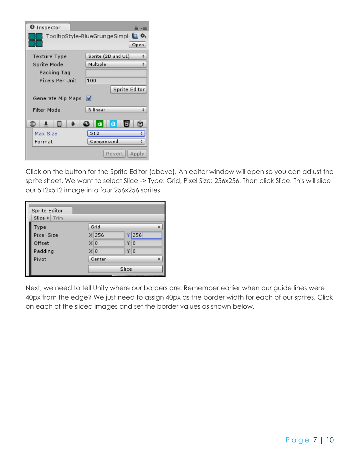| O Inspector       |                                     |
|-------------------|-------------------------------------|
|                   | TooltipStyle-BlueGrungeSimple<br>₩. |
|                   | Open                                |
| Texture Type      | Sprite (2D and UI)                  |
| Sprite Mode       | Multiple                            |
| Packing Tag       |                                     |
| Pixels Per Unit   | 100                                 |
|                   | Sprite Editor                       |
| Generate Mip Maps | M                                   |
| Filter Mode       | Bilinear                            |
| ۰.                | Б<br>Œā<br>a<br>a                   |
| <b>Max Size</b>   | 512                                 |
| Format            | Compressed                          |
|                   | Apply<br>Revert                     |

Click on the button for the Sprite Editor (above). An editor window will open so you can adjust the sprite sheet. We want to select Slice -> Type: Grid, Pixel Size: 256x256. Then click Slice. This will slice our 512x512 image into four 256x256 sprites.

| Sprite Editor<br>Slice $\frac{1}{2}$ Trim |                |       |     |  |
|-------------------------------------------|----------------|-------|-----|--|
|                                           |                |       |     |  |
| Type                                      | Grid           |       |     |  |
| Pixel Size                                | $X$ 256        |       | 256 |  |
| Offset                                    | $\times 0$     |       | 10  |  |
| Padding                                   | X <sub>0</sub> |       | Y O |  |
| Pivot                                     | Center         |       |     |  |
|                                           |                | Slice |     |  |

Next, we need to tell Unity where our borders are. Remember earlier when our guide lines were 40px from the edge? We just need to assign 40px as the border width for each of our sprites. Click on each of the sliced images and set the border values as shown below.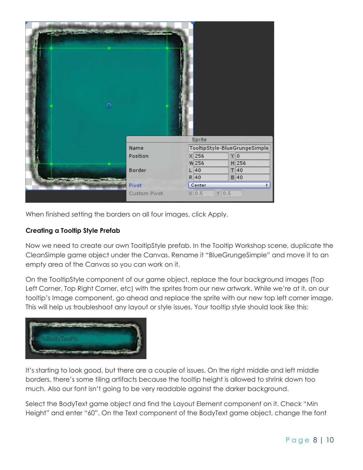

When finished setting the borders on all four images, click Apply.

#### **Creating a Tooltip Style Prefab**

Now we need to create our own TooltipStyle prefab. In the Tooltip Workshop scene, duplicate the CleanSimple game object under the Canvas. Rename it "BlueGrungeSimple" and move it to an empty area of the Canvas so you can work on it.

On the TooltipStyle component of our game object, replace the four background images (Top Left Corner, Top Right Corner, etc) with the sprites from our new artwork. While we're at it, on our tooltip's Image component, go ahead and replace the sprite with our new top left corner image. This will help us troubleshoot any layout or style issues. Your tooltip style should look like this:



It's starting to look good, but there are a couple of issues. On the right middle and left middle borders, there's some tiling artifacts because the tooltip height is allowed to shrink down too much. Also our font isn't going to be very readable against the darker background.

Select the BodyText game object and find the Layout Element component on it. Check "Min Height" and enter "60". On the Text component of the BodyText game object, change the font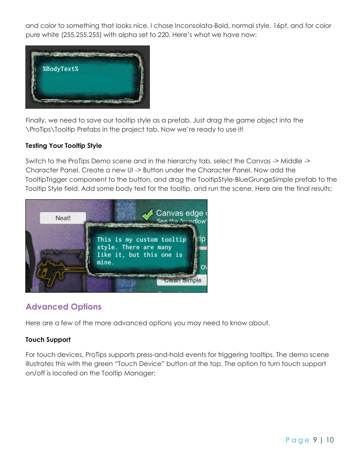and color to something that looks nice. I chose Inconsolata-Bold, normal style, 16pt, and for color pure white (255,255,255) with alpha set to 220. Here's what we have now:



Finally, we need to save our tooltip style as a prefab. Just drag the game object into the \ProTips\Tooltip Prefabs in the project tab. Now we're ready to use it!

#### **Testing Your Tooltip Style**

Switch to the ProTips Demo scene and in the hierarchy tab, select the Canvas -> Middle -> Character Panel. Create a new UI -> Button under the Character Panel. Now add the TooltipTrigger component to the button, and drag the TooltipStyle-BlueGrungeSimple prefab to the Tooltip Style field. Add some body text for the tooltip, and run the scene. Here are the final results:



## **Advanced Options**

Here are a few of the more advanced options you may need to know about.

#### **Touch Support**

For touch devices, ProTips supports press-and-hold events for triggering tooltips. The demo scene illustrates this with the green "Touch Device" button at the top. The option to turn touch support on/off is located on the Tooltip Manager: